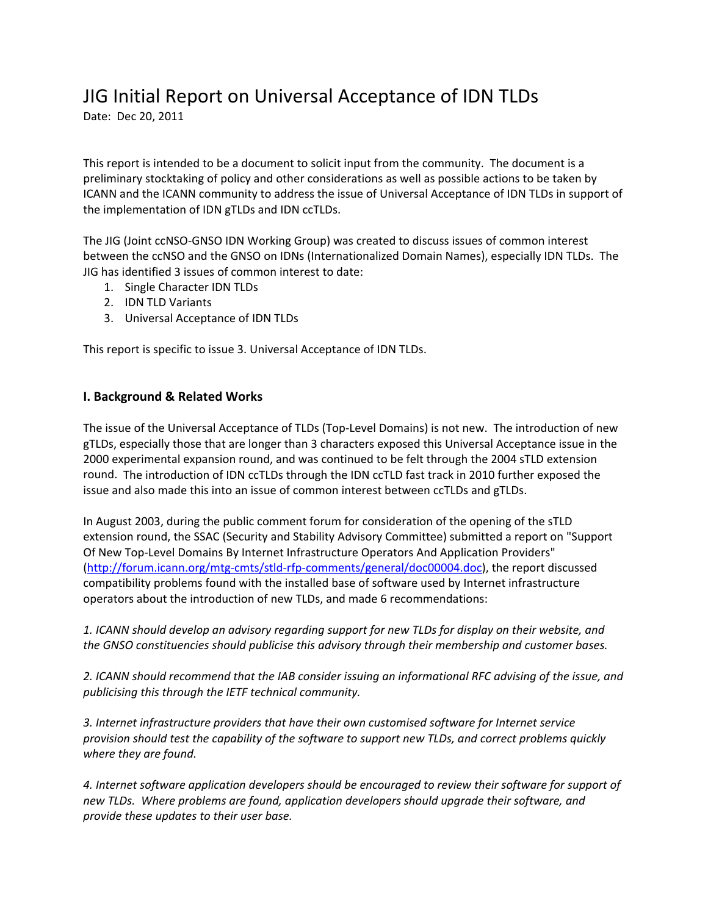# JIG Initial Report on Universal Acceptance of IDN TLDs

Date: Dec 20, 2011

This report is intended to be a document to solicit input from the community. The document is a preliminary stocktaking of policy and other considerations as well as possible actions to be taken by ICANN and the ICANN community to address the issue of Universal Acceptance of IDN TLDs in support of the implementation of IDN gTLDs and IDN ccTLDs.

The JIG (Joint ccNSO‐GNSO IDN Working Group) was created to discuss issues of common interest between the ccNSO and the GNSO on IDNs (Internationalized Domain Names), especially IDN TLDs. The JIG has identified 3 issues of common interest to date:

- 1. Single Character IDN TLDs
- 2. IDN TLD Variants
- 3. Universal Acceptance of IDN TLDs

This report is specific to issue 3. Universal Acceptance of IDN TLDs.

## **I. Background & Related Works**

The issue of the Universal Acceptance of TLDs (Top-Level Domains) is not new. The introduction of new gTLDs, especially those that are longer than 3 characters exposed this Universal Acceptance issue in the 2000 experimental expansion round, and was continued to be felt through the 2004 sTLD extension round. The introduction of IDN ccTLDs through the IDN ccTLD fast track in 2010 further exposed the issue and also made this into an issue of common interest between ccTLDs and gTLDs.

In August 2003, during the public comment forum for consideration of the opening of the sTLD extension round, the SSAC (Security and Stability Advisory Committee) submitted a report on "Support Of New Top‐Level Domains By Internet Infrastructure Operators And Application Providers" (http://forum.icann.org/mtg‐cmts/stld‐rfp‐comments/general/doc00004.doc), the report discussed compatibility problems found with the installed base of software used by Internet infrastructure operators about the introduction of new TLDs, and made 6 recommendations:

*1. ICANN should develop an advisory regarding support for new TLDs for display on their website, and the GNSO constituencies should publicise this advisory through their membership and customer bases.*

*2. ICANN should recommend that the IAB consider issuing an informational RFC advising of the issue, and publicising this through the IETF technical community.*

*3. Internet infrastructure providers that have their own customised software for Internet service provision should test the capability of the software to support new TLDs, and correct problems quickly where they are found.*

*4. Internet software application developers should be encouraged to review their software for support of new TLDs. Where problems are found, application developers should upgrade their software, and provide these updates to their user base.*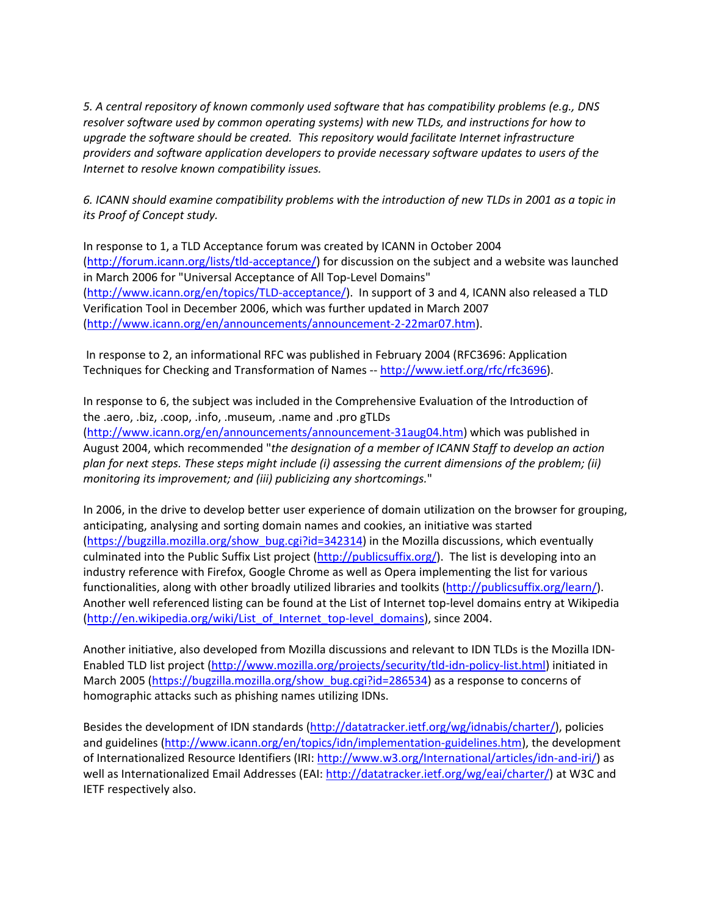*5. A central repository of known commonly used software that has compatibility problems (e.g., DNS resolver software used by common operating systems) with new TLDs, and instructions for how to upgrade the software should be created. This repository would facilitate Internet infrastructure providers and software application developers to provide necessary software updates to users of the Internet to resolve known compatibility issues.* 

6. ICANN should examine compatibility problems with the introduction of new TLDs in 2001 as a topic in *its Proof of Concept study.*

In response to 1, a TLD Acceptance forum was created by ICANN in October 2004 (http://forum.icann.org/lists/tld‐acceptance/) for discussion on the subject and a website was launched in March 2006 for "Universal Acceptance of All Top‐Level Domains" (http://www.icann.org/en/topics/TLD‐acceptance/). In support of 3 and 4, ICANN also released a TLD Verification Tool in December 2006, which was further updated in March 2007 (http://www.icann.org/en/announcements/announcement‐2‐22mar07.htm).

In response to 2, an informational RFC was published in February 2004 (RFC3696: Application Techniques for Checking and Transformation of Names ‐‐ http://www.ietf.org/rfc/rfc3696).

In response to 6, the subject was included in the Comprehensive Evaluation of the Introduction of the .aero, .biz, .coop, .info, .museum, .name and .pro gTLDs

(http://www.icann.org/en/announcements/announcement‐31aug04.htm) which was published in August 2004, which recommended "*the designation of a member of ICANN Staff to develop an action plan for next steps. These steps might include (i) assessing the current dimensions of the problem; (ii) monitoring its improvement; and (iii) publicizing any shortcomings.*"

In 2006, in the drive to develop better user experience of domain utilization on the browser for grouping, anticipating, analysing and sorting domain names and cookies, an initiative was started (https://bugzilla.mozilla.org/show\_bug.cgi?id=342314) in the Mozilla discussions, which eventually culminated into the Public Suffix List project (http://publicsuffix.org/). The list is developing into an industry reference with Firefox, Google Chrome as well as Opera implementing the list for various functionalities, along with other broadly utilized libraries and toolkits (http://publicsuffix.org/learn/). Another well referenced listing can be found at the List of Internet top‐level domains entry at Wikipedia (http://en.wikipedia.org/wiki/List\_of\_Internet\_top‐level\_domains), since 2004.

Another initiative, also developed from Mozilla discussions and relevant to IDN TLDs is the Mozilla IDN‐ Enabled TLD list project (http://www.mozilla.org/projects/security/tld-idn-policy-list.html) initiated in March 2005 (https://bugzilla.mozilla.org/show\_bug.cgi?id=286534) as a response to concerns of homographic attacks such as phishing names utilizing IDNs.

Besides the development of IDN standards (http://datatracker.ietf.org/wg/idnabis/charter/), policies and guidelines (http://www.icann.org/en/topics/idn/implementation-guidelines.htm), the development of Internationalized Resource Identifiers (IRI: http://www.w3.org/International/articles/idn‐and‐iri/) as well as Internationalized Email Addresses (EAI: http://datatracker.ietf.org/wg/eai/charter/) at W3C and IETF respectively also.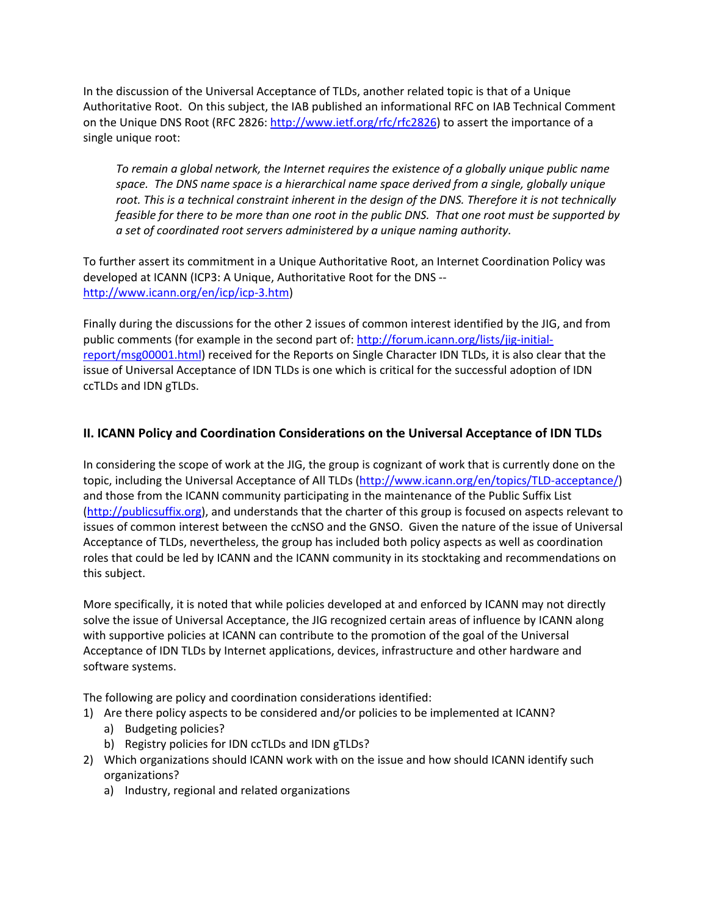In the discussion of the Universal Acceptance of TLDs, another related topic is that of a Unique Authoritative Root. On this subject, the IAB published an informational RFC on IAB Technical Comment on the Unique DNS Root (RFC 2826: http://www.ietf.org/rfc/rfc2826) to assert the importance of a single unique root:

*To remain a global network, the Internet requires the existence of a globally unique public name space. The DNS name space is a hierarchical name space derived from a single, globally unique* root. This is a technical constraint inherent in the design of the DNS. Therefore it is not technically feasible for there to be more than one root in the public DNS. That one root must be supported by *a set of coordinated root servers administered by a unique naming authority.*

To further assert its commitment in a Unique Authoritative Root, an Internet Coordination Policy was developed at ICANN (ICP3: A Unique, Authoritative Root for the DNS ‐‐ http://www.icann.org/en/icp/icp‐3.htm)

Finally during the discussions for the other 2 issues of common interest identified by the JIG, and from public comments (for example in the second part of: http://forum.icann.org/lists/jig-initialreport/msg00001.html) received for the Reports on Single Character IDN TLDs, it is also clear that the issue of Universal Acceptance of IDN TLDs is one which is critical for the successful adoption of IDN ccTLDs and IDN gTLDs.

# **II. ICANN Policy and Coordination Considerations on the Universal Acceptance of IDN TLDs**

In considering the scope of work at the JIG, the group is cognizant of work that is currently done on the topic, including the Universal Acceptance of All TLDs (http://www.icann.org/en/topics/TLD-acceptance/) and those from the ICANN community participating in the maintenance of the Public Suffix List (http://publicsuffix.org), and understands that the charter of this group is focused on aspects relevant to issues of common interest between the ccNSO and the GNSO. Given the nature of the issue of Universal Acceptance of TLDs, nevertheless, the group has included both policy aspects as well as coordination roles that could be led by ICANN and the ICANN community in its stocktaking and recommendations on this subject.

More specifically, it is noted that while policies developed at and enforced by ICANN may not directly solve the issue of Universal Acceptance, the JIG recognized certain areas of influence by ICANN along with supportive policies at ICANN can contribute to the promotion of the goal of the Universal Acceptance of IDN TLDs by Internet applications, devices, infrastructure and other hardware and software systems.

The following are policy and coordination considerations identified:

- 1) Are there policy aspects to be considered and/or policies to be implemented at ICANN?
	- a) Budgeting policies?
	- b) Registry policies for IDN ccTLDs and IDN gTLDs?
- 2) Which organizations should ICANN work with on the issue and how should ICANN identify such organizations?
	- a) Industry, regional and related organizations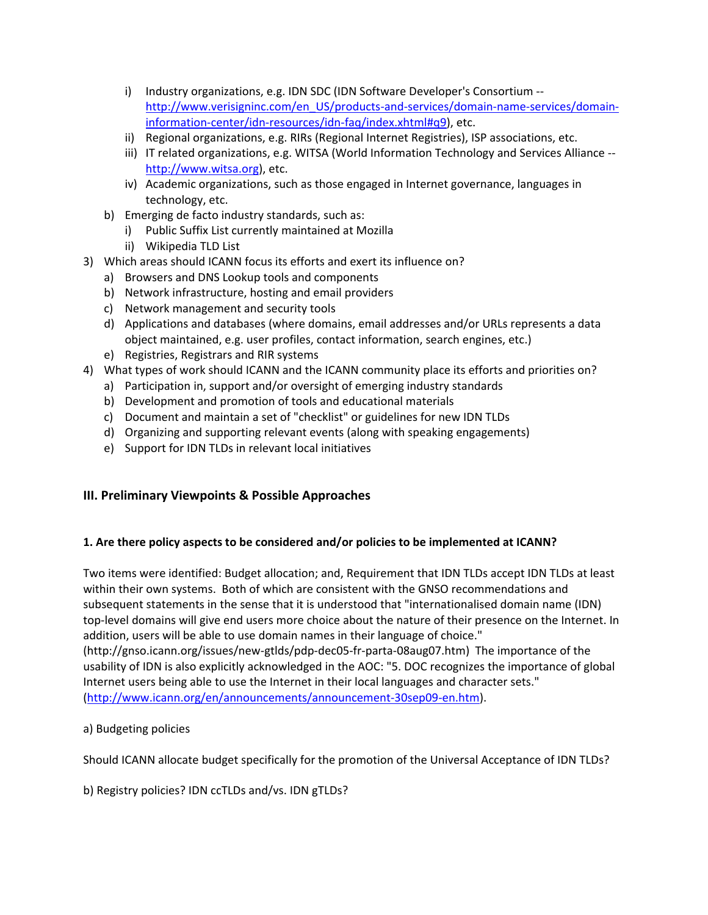- i) Industry organizations, e.g. IDN SDC (IDN Software Developer's Consortium ‐‐ http://www.verisigninc.com/en\_US/products-and-services/domain-name-services/domaininformation-center/idn-resources/idn-faq/index.xhtml#q9), etc.
- ii) Regional organizations, e.g. RIRs (Regional Internet Registries), ISP associations, etc.
- iii) IT related organizations, e.g. WITSA (World Information Technology and Services Alliance -http://www.witsa.org), etc.
- iv) Academic organizations, such as those engaged in Internet governance, languages in technology, etc.
- b) Emerging de facto industry standards, such as:
	- i) Public Suffix List currently maintained at Mozilla
	- ii) Wikipedia TLD List
- 3) Which areas should ICANN focus its efforts and exert its influence on?
	- a) Browsers and DNS Lookup tools and components
	- b) Network infrastructure, hosting and email providers
	- c) Network management and security tools
	- d) Applications and databases (where domains, email addresses and/or URLs represents a data object maintained, e.g. user profiles, contact information, search engines, etc.)
	- e) Registries, Registrars and RIR systems
- 4) What types of work should ICANN and the ICANN community place its efforts and priorities on?
	- a) Participation in, support and/or oversight of emerging industry standards
	- b) Development and promotion of tools and educational materials
	- c) Document and maintain a set of "checklist" or guidelines for new IDN TLDs
	- d) Organizing and supporting relevant events (along with speaking engagements)
	- e) Support for IDN TLDs in relevant local initiatives

## **III. Preliminary Viewpoints & Possible Approaches**

#### **1. Are there policy aspects to be considered and/or policies to be implemented at ICANN?**

Two items were identified: Budget allocation; and, Requirement that IDN TLDs accept IDN TLDs at least within their own systems. Both of which are consistent with the GNSO recommendations and subsequent statements in the sense that it is understood that "internationalised domain name (IDN) top‐level domains will give end users more choice about the nature of their presence on the Internet. In addition, users will be able to use domain names in their language of choice."

(http://gnso.icann.org/issues/new‐gtlds/pdp‐dec05‐fr‐parta‐08aug07.htm) The importance of the usability of IDN is also explicitly acknowledged in the AOC: "5. DOC recognizes the importance of global Internet users being able to use the Internet in their local languages and character sets." (http://www.icann.org/en/announcements/announcement‐30sep09‐en.htm).

a) Budgeting policies

Should ICANN allocate budget specifically for the promotion of the Universal Acceptance of IDN TLDs?

## b) Registry policies? IDN ccTLDs and/vs. IDN gTLDs?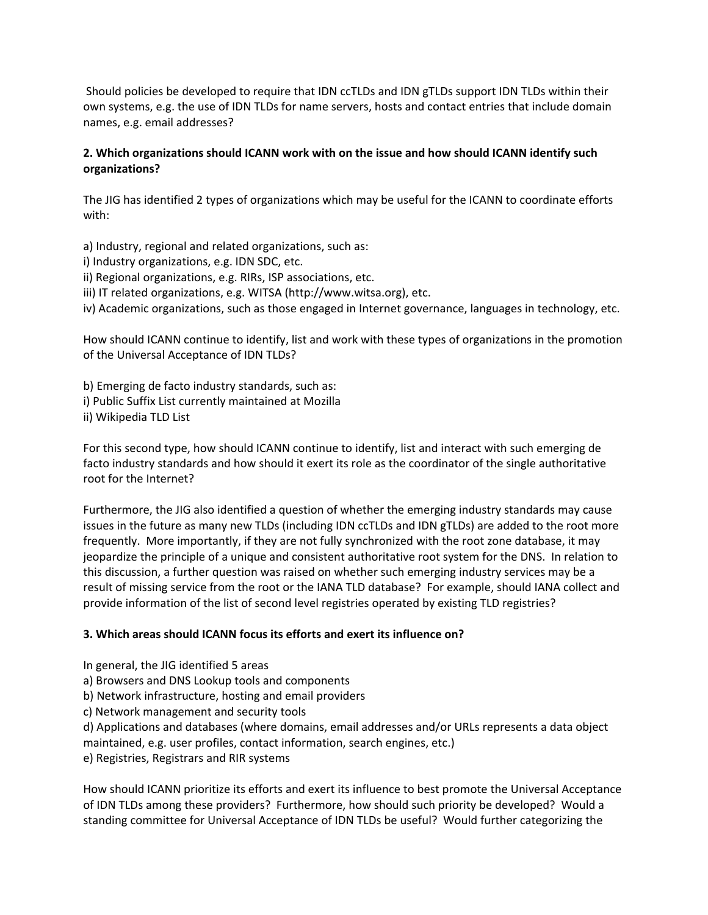Should policies be developed to require that IDN ccTLDs and IDN gTLDs support IDN TLDs within their own systems, e.g. the use of IDN TLDs for name servers, hosts and contact entries that include domain names, e.g. email addresses?

## **2. Which organizations should ICANN work with on the issue and how should ICANN identify such organizations?**

The JIG has identified 2 types of organizations which may be useful for the ICANN to coordinate efforts with:

a) Industry, regional and related organizations, such as:

- i) Industry organizations, e.g. IDN SDC, etc.
- ii) Regional organizations, e.g. RIRs, ISP associations, etc.
- iii) IT related organizations, e.g. WITSA (http://www.witsa.org), etc.
- iv) Academic organizations, such as those engaged in Internet governance, languages in technology, etc.

How should ICANN continue to identify, list and work with these types of organizations in the promotion of the Universal Acceptance of IDN TLDs?

b) Emerging de facto industry standards, such as: i) Public Suffix List currently maintained at Mozilla ii) Wikipedia TLD List

For this second type, how should ICANN continue to identify, list and interact with such emerging de facto industry standards and how should it exert its role as the coordinator of the single authoritative root for the Internet?

Furthermore, the JIG also identified a question of whether the emerging industry standards may cause issues in the future as many new TLDs (including IDN ccTLDs and IDN gTLDs) are added to the root more frequently. More importantly, if they are not fully synchronized with the root zone database, it may jeopardize the principle of a unique and consistent authoritative root system for the DNS. In relation to this discussion, a further question was raised on whether such emerging industry services may be a result of missing service from the root or the IANA TLD database? For example, should IANA collect and provide information of the list of second level registries operated by existing TLD registries?

#### **3. Which areas should ICANN focus its efforts and exert its influence on?**

- In general, the JIG identified 5 areas
- a) Browsers and DNS Lookup tools and components
- b) Network infrastructure, hosting and email providers
- c) Network management and security tools
- d) Applications and databases (where domains, email addresses and/or URLs represents a data object
- maintained, e.g. user profiles, contact information, search engines, etc.)

e) Registries, Registrars and RIR systems

How should ICANN prioritize its efforts and exert its influence to best promote the Universal Acceptance of IDN TLDs among these providers? Furthermore, how should such priority be developed? Would a standing committee for Universal Acceptance of IDN TLDs be useful? Would further categorizing the